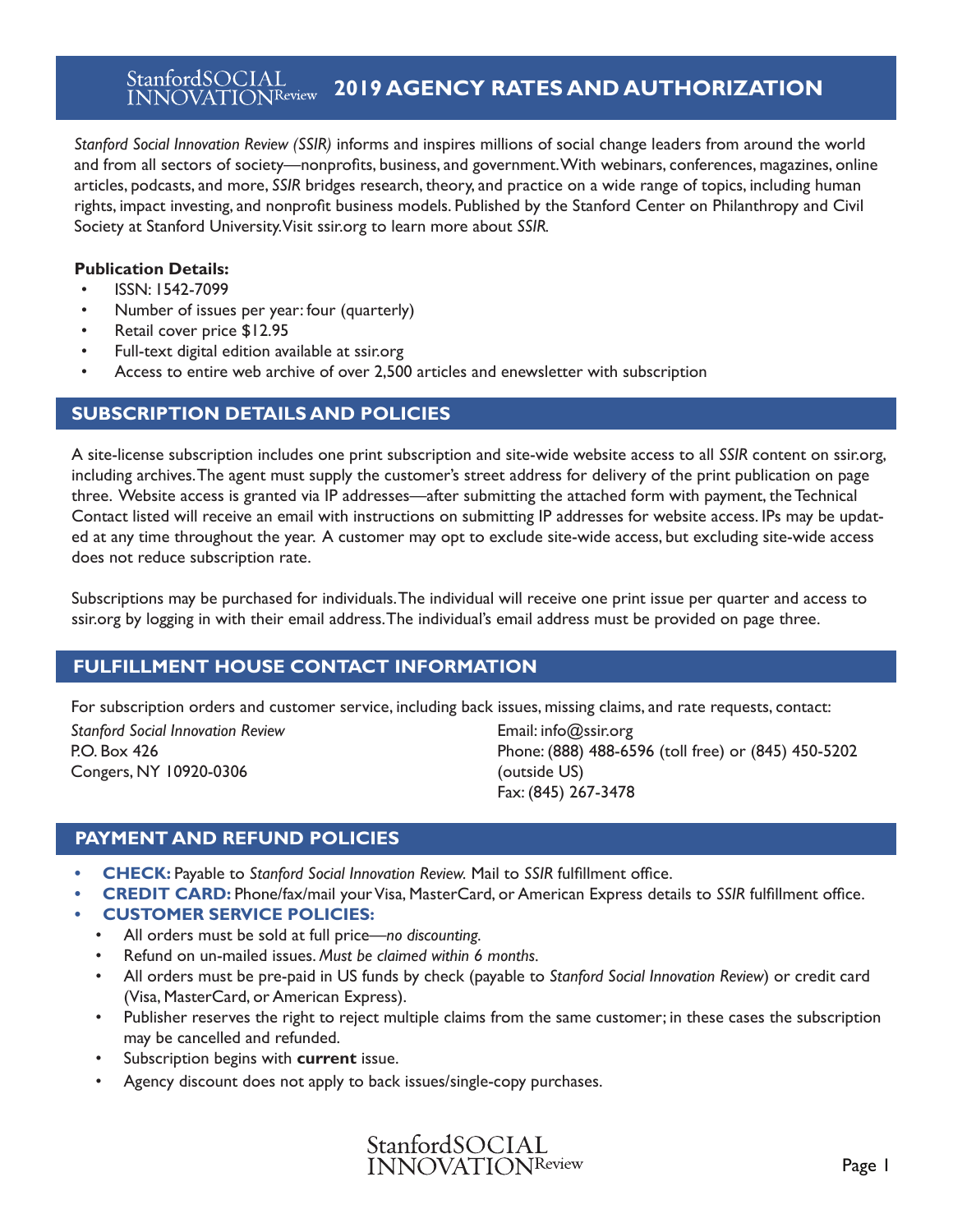#### StanfordSOCIAL **2022 AGENCY RATES AND AUTHORIZATION INNOVATIONReview**

*Stanford Social Innovation Review (SSIR)* informs and inspires millions of social change leaders from around the world and from all sectors of society—nonprofits, foundations, business, social enterprise, academia, and government. With magazines, online articles, podcasts, webinars, conferences, and more, *SSIR* bridges research, theory, and practice on a wide range of topics, including human rights, impact investing, and nonprofit business models. SSIR is published by the Stanford Center on Philanthropy & Civil Society at Stanford University. Visit ssir.org to learn more about *SSIR.*

### **Publication Details:**

- ISSN: 1542-7099
- Number of issues per year: four (quarterly)
- Retail cover price \$12.95
- Full-text digital edition available at ssir.org
- Access to entire web archive of over 4000 articles and enewsletter with subscription

# **SUBSCRIPTION DETAILS AND POLICIES**

A site-license subscription includes one print subscription and site-wide website access to all *SSIR* content on ssir.org, including archives. The agent must supply the customer's street address on page three for delivery of the print publication on page three. Website access is granted via IP addresses—after submitting the attached form with payment, the Technical Contact listed will receive an email with instructions on submitting IP addresses for website access. IPs may be updat-ed at any time throughout the year. A customer may opt to exclude site-wide access; however, excluding site-wide access does not reduce subscription rate.

Subscriptions may be purchased for individuals. The individual will receive one print issue per quarter and access to ssir.org by logging in with their email address. The individual's email address must be provided on page three.

# **FULFILLMENT HOUSE CONTACT INFORMATION**

For subscription orders and customer service, including back issues, missing claims, and rate requests, contact:

*Stanford Social Innovation Review* P.O. Box 426 Congers, NY 10920-0306

Email: info@ssir.org Phone: (888) 488-6596 (toll free) or (845) 450-5202 (outside US) Fax: (845) 267-3478

# **PAYMENT AND REFUND POLICIES**

- **• CHECK:** Payable to *Stanford Social Innovation Review.* Mail to *SSIR* fulfillment office.
- **• CREDIT CARD:** Phone/fax/mail your Visa, MasterCard, or American Express details to *SSIR* fulfillment office.
- **• CUSTOMER SERVICE POLICIES:**
	- All orders must be sold at full price—*no discounting.*
	- Refund on un-mailed issues. *Must be claimed within 6 months.*
	- All orders must be pre-paid in US funds by check (payable to *Stanford Social Innovation Review*) or credit card (Visa, MasterCard, or American Express).
	- Publisher reserves the right to reject multiple claims from the same customer; in these cases the subscription may be cancelled and refunded.
	- Subscription begins with **current** issue.
	- Agency discount does not apply to back issues/single-copy purchases.

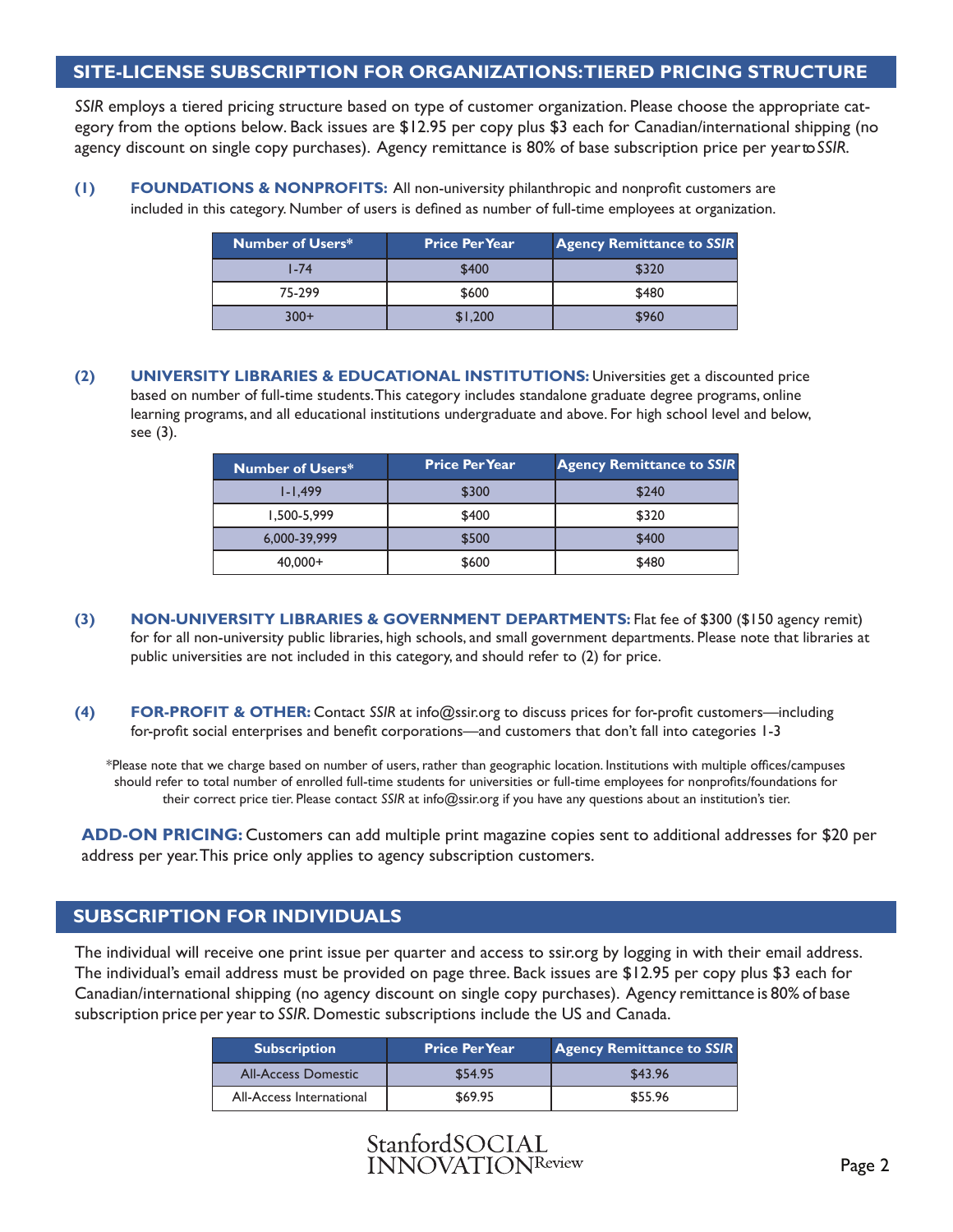### **SITE-LICENSE SUBSCRIPTION FOR ORGANIZATIONS: TIERED PRICING STRUCTURE**

*SSIR* employs a tiered pricing structure based on type of customer organization. Please choose the appropriate category from the options below. Back issues are \$12.95 per copy plus \$3 each for Canadian/international shipping (no agency discount on single copy purchases). Agency remittance is 80% of base subscription price per year to *SSIR*.

**(1) FOUNDATIONS & NONPROFITS:** All non-university philanthropic and nonprofit customers are included in this category. Number of users is defined as number of full-time employees at organization.

| <b>Number of Users*</b> | <b>Price Per Year</b> | <b>Agency Remittance to SSIR</b> |
|-------------------------|-----------------------|----------------------------------|
| $1 - 74$                | \$400                 | \$320                            |
| 75-299                  | \$600                 | \$480                            |
| $300+$                  | \$1,200               | \$960                            |

**(2) UNIVERSITY LIBRARIES & EDUCATIONAL INSTITUTIONS:** Universities get a discounted price based on number of full-time students. This category includes standalone graduate degree programs, online learning programs, and all educational institutions undergraduate and above. For high school level and below, see (3).

| <b>Number of Users*</b> | <b>Price Per Year</b> | <b>Agency Remittance to SSIR</b> |
|-------------------------|-----------------------|----------------------------------|
| $1 - 1.499$             | \$300                 | \$240                            |
| 1,500-5,999             | \$400                 | \$320                            |
| 6,000-39,999            | \$500                 | \$400                            |
| $40,000+$               | \$600                 | \$480                            |

- **(3) NON-UNIVERSITY LIBRARIES & GOVERNMENT DEPARTMENTS:** Flat fee of \$300 (\$150 agency remit) for for all non-university public libraries, high schools, and small government departments. Please note that libraries at public universities are not included in this category, and should refer to (2) for price.
- **(4) FOR-PROFIT & OTHER:** Contact *SSIR* at info@ssir.org to discuss prices for for-profit customers—including for-profit social enterprises and benefit corporations—and customers that don't fall into categories 1-3

\*Please note that we charge based on number of users, rather than geographic location. Institutions with multiple offices/campuses should refer to total number of enrolled full-time students for universities or full-time employees for nonprofits/foundations for their correct price tier. Please contact *SSIR* at info@ssir.org if you have any questions about an institution's tier.

**ADD-ON PRICING:** Customers can add multiple print magazine copies sent to additional addresses for \$20 per address per year. This price only applies to agency subscription customers.

# **SUBSCRIPTION FOR INDIVIDUALS**

The individual will receive one print issue per quarter and access to ssir.org by logging in with their email address. The individual's email address must be provided on page three. Back issues are \$12.95 per copy plus \$3 each for Canadian/international shipping (no agency discount on single copy purchases). Agency remittance is 80% of base subscription price per year to *SSIR*. Domestic subscriptions include the US and Canada.

| <b>Subscription</b>        | <b>Price Per Year</b> | <b>Agency Remittance to SSIR</b> |
|----------------------------|-----------------------|----------------------------------|
| <b>All-Access Domestic</b> | \$54.95               | \$43.96                          |
| All-Access International   | \$69.95               | \$55.96                          |